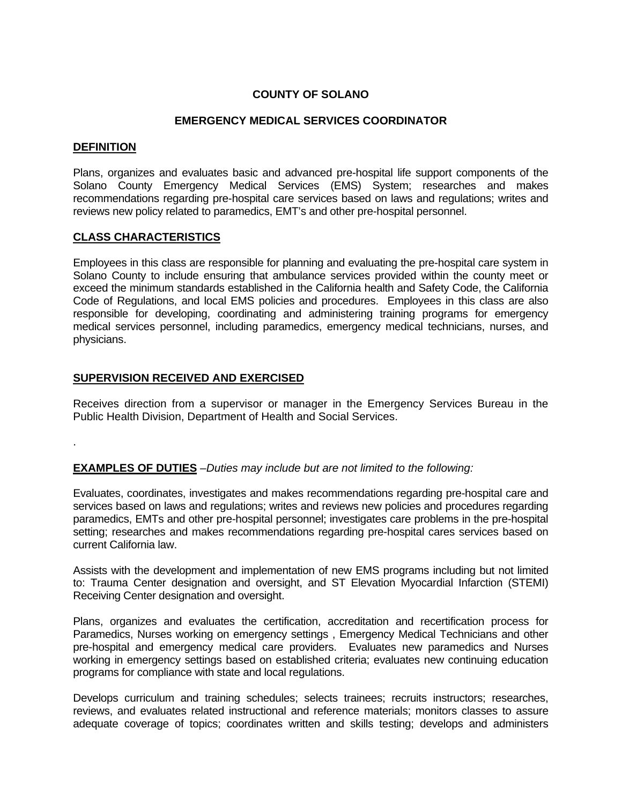# **COUNTY OF SOLANO**

#### **EMERGENCY MEDICAL SERVICES COORDINATOR**

#### **DEFINITION**

.

Plans, organizes and evaluates basic and advanced pre-hospital life support components of the Solano County Emergency Medical Services (EMS) System; researches and makes recommendations regarding pre-hospital care services based on laws and regulations; writes and reviews new policy related to paramedics, EMT's and other pre-hospital personnel.

### **CLASS CHARACTERISTICS**

Employees in this class are responsible for planning and evaluating the pre-hospital care system in Solano County to include ensuring that ambulance services provided within the county meet or exceed the minimum standards established in the California health and Safety Code, the California Code of Regulations, and local EMS policies and procedures. Employees in this class are also responsible for developing, coordinating and administering training programs for emergency medical services personnel, including paramedics, emergency medical technicians, nurses, and physicians.

### **SUPERVISION RECEIVED AND EXERCISED**

Receives direction from a supervisor or manager in the Emergency Services Bureau in the Public Health Division, Department of Health and Social Services.

**EXAMPLES OF DUTIES** *–Duties may include but are not limited to the following:*

Evaluates, coordinates, investigates and makes recommendations regarding pre-hospital care and services based on laws and regulations; writes and reviews new policies and procedures regarding paramedics, EMTs and other pre-hospital personnel; investigates care problems in the pre-hospital setting; researches and makes recommendations regarding pre-hospital cares services based on current California law.

Assists with the development and implementation of new EMS programs including but not limited to: Trauma Center designation and oversight, and ST Elevation Myocardial Infarction (STEMI) Receiving Center designation and oversight.

Plans, organizes and evaluates the certification, accreditation and recertification process for Paramedics, Nurses working on emergency settings , Emergency Medical Technicians and other pre-hospital and emergency medical care providers. Evaluates new paramedics and Nurses working in emergency settings based on established criteria; evaluates new continuing education programs for compliance with state and local regulations.

Develops curriculum and training schedules; selects trainees; recruits instructors; researches, reviews, and evaluates related instructional and reference materials; monitors classes to assure adequate coverage of topics; coordinates written and skills testing; develops and administers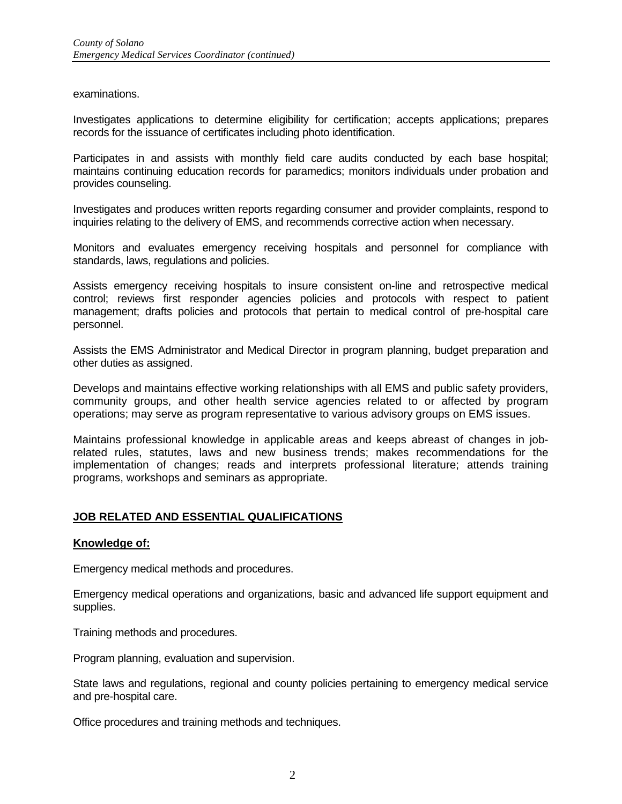examinations.

Investigates applications to determine eligibility for certification; accepts applications; prepares records for the issuance of certificates including photo identification.

Participates in and assists with monthly field care audits conducted by each base hospital; maintains continuing education records for paramedics; monitors individuals under probation and provides counseling.

Investigates and produces written reports regarding consumer and provider complaints, respond to inquiries relating to the delivery of EMS, and recommends corrective action when necessary.

Monitors and evaluates emergency receiving hospitals and personnel for compliance with standards, laws, regulations and policies.

Assists emergency receiving hospitals to insure consistent on-line and retrospective medical control; reviews first responder agencies policies and protocols with respect to patient management; drafts policies and protocols that pertain to medical control of pre-hospital care personnel.

Assists the EMS Administrator and Medical Director in program planning, budget preparation and other duties as assigned.

Develops and maintains effective working relationships with all EMS and public safety providers, community groups, and other health service agencies related to or affected by program operations; may serve as program representative to various advisory groups on EMS issues.

Maintains professional knowledge in applicable areas and keeps abreast of changes in jobrelated rules, statutes, laws and new business trends; makes recommendations for the implementation of changes; reads and interprets professional literature; attends training programs, workshops and seminars as appropriate.

### **JOB RELATED AND ESSENTIAL QUALIFICATIONS**

#### **Knowledge of:**

Emergency medical methods and procedures.

Emergency medical operations and organizations, basic and advanced life support equipment and supplies.

Training methods and procedures.

Program planning, evaluation and supervision.

State laws and regulations, regional and county policies pertaining to emergency medical service and pre-hospital care.

Office procedures and training methods and techniques.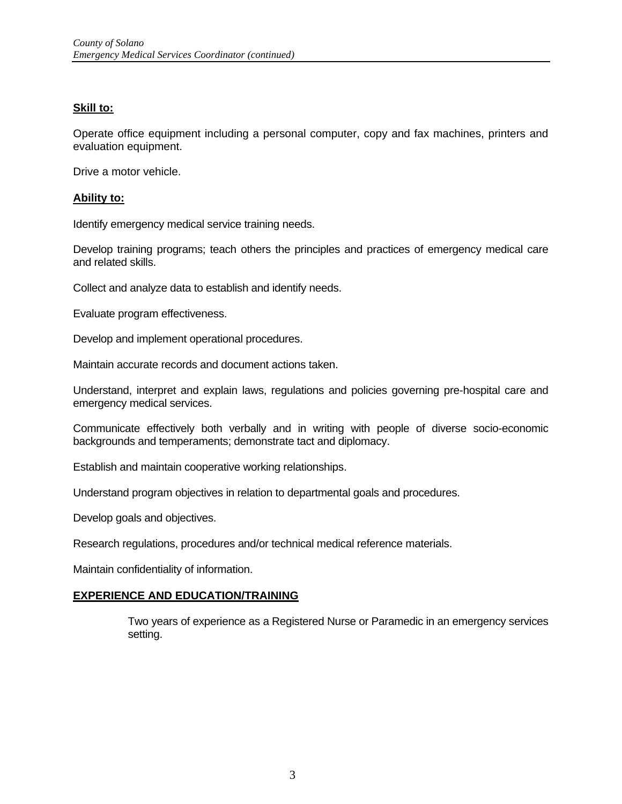### **Skill to:**

Operate office equipment including a personal computer, copy and fax machines, printers and evaluation equipment.

Drive a motor vehicle.

#### **Ability to:**

Identify emergency medical service training needs.

Develop training programs; teach others the principles and practices of emergency medical care and related skills.

Collect and analyze data to establish and identify needs.

Evaluate program effectiveness.

Develop and implement operational procedures.

Maintain accurate records and document actions taken.

Understand, interpret and explain laws, regulations and policies governing pre-hospital care and emergency medical services.

Communicate effectively both verbally and in writing with people of diverse socio-economic backgrounds and temperaments; demonstrate tact and diplomacy.

Establish and maintain cooperative working relationships.

Understand program objectives in relation to departmental goals and procedures.

Develop goals and objectives.

Research regulations, procedures and/or technical medical reference materials.

Maintain confidentiality of information.

#### **EXPERIENCE AND EDUCATION/TRAINING**

Two years of experience as a Registered Nurse or Paramedic in an emergency services setting.